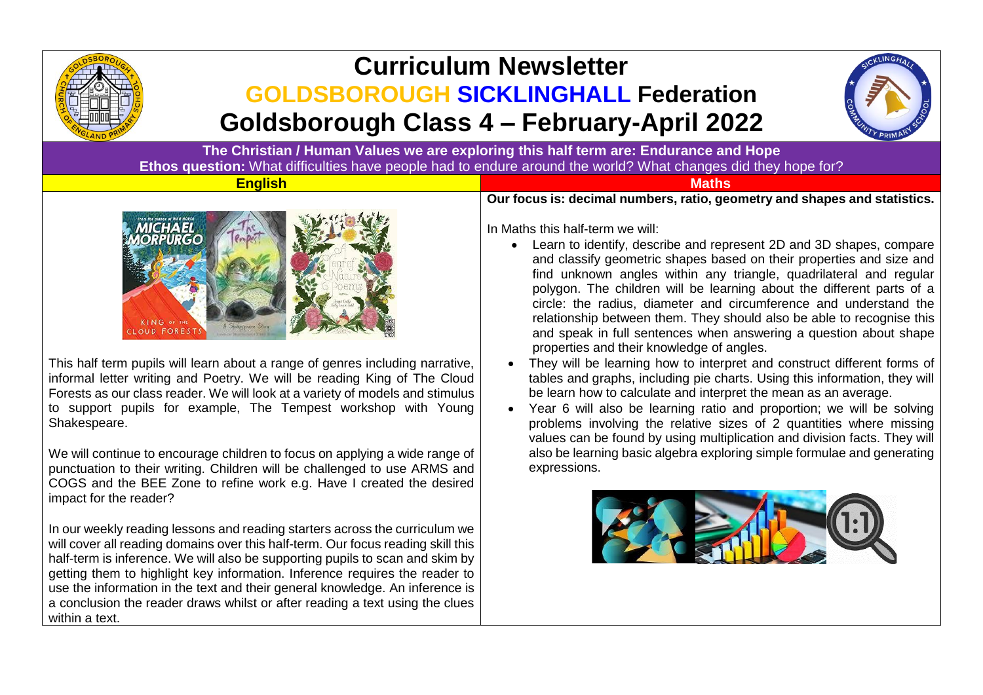

# **Curriculum Newsletter GOLDSBOROUGH SICKLINGHALL Federation Goldsborough Class 4 – February-April 2022**



**The Christian / Human Values we are exploring this half term are: Endurance and Hope Ethos question:** What difficulties have people had to endure around the world? What changes did they hope for?

### **English Maths**



This half term pupils will learn about a range of genres including narrative, informal letter writing and Poetry. We will be reading King of The Cloud Forests as our class reader. We will look at a variety of models and stimulus to support pupils for example, The Tempest workshop with Young Shakespeare.

We will continue to encourage children to focus on applying a wide range of punctuation to their writing. Children will be challenged to use ARMS and COGS and the BEE Zone to refine work e.g. Have I created the desired impact for the reader?

In our weekly reading lessons and reading starters across the curriculum we will cover all reading domains over this half-term. Our focus reading skill this half-term is inference. We will also be supporting pupils to scan and skim by getting them to highlight key information. Inference requires the reader to use the information in the text and their general knowledge. An inference is a conclusion the reader draws whilst or after reading a text using the clues within a text.

**Our focus is: decimal numbers, ratio, geometry and shapes and statistics.**

In Maths this half-term we will:

- Learn to identify, describe and represent 2D and 3D shapes, compare and classify geometric shapes based on their properties and size and find unknown angles within any triangle, quadrilateral and regular polygon. The children will be learning about the different parts of a circle: the radius, diameter and circumference and understand the relationship between them. They should also be able to recognise this and speak in full sentences when answering a question about shape properties and their knowledge of angles.
- They will be learning how to interpret and construct different forms of tables and graphs, including pie charts. Using this information, they will be learn how to calculate and interpret the mean as an average.
- Year 6 will also be learning ratio and proportion; we will be solving problems involving the relative sizes of 2 quantities where missing values can be found by using multiplication and division facts. They will also be learning basic algebra exploring simple formulae and generating expressions.

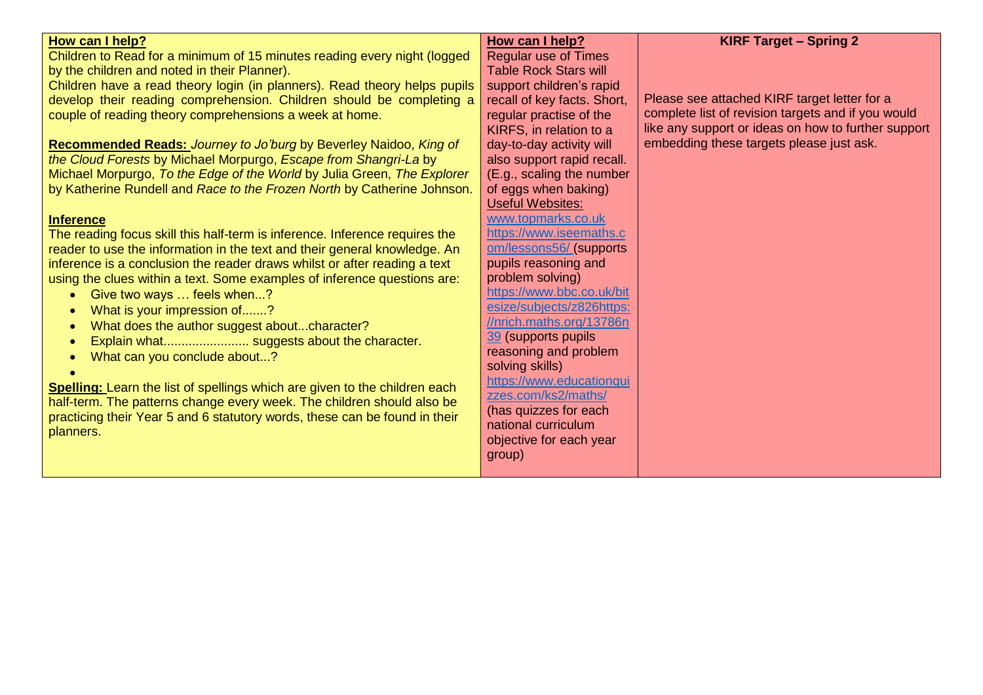| How can I help?<br>Children to Read for a minimum of 15 minutes reading every night (logged<br>by the children and noted in their Planner).<br>Children have a read theory login (in planners). Read theory helps pupils<br>develop their reading comprehension. Children should be completing a<br>couple of reading theory comprehensions a week at home.<br>Recommended Reads: Journey to Jo'burg by Beverley Naidoo, King of<br>the Cloud Forests by Michael Morpurgo, Escape from Shangri-La by<br>Michael Morpurgo, To the Edge of the World by Julia Green, The Explorer<br>by Katherine Rundell and Race to the Frozen North by Catherine Johnson.<br><b>Inference</b> | How can I help?<br><b>Regular use of Times</b><br><b>Table Rock Stars will</b><br>support children's rapid<br>recall of key facts. Short,<br>regular practise of the<br>KIRFS, in relation to a<br>day-to-day activity will<br>also support rapid recall.<br>(E.g., scaling the number<br>of eggs when baking)<br><b>Useful Websites:</b><br>www.topmarks.co.uk<br>https://www.iseemaths.c | <b>KIRF Target - Spring 2</b><br>Please see attached KIRF target letter for a<br>complete list of revision targets and if you would<br>like any support or ideas on how to further support<br>embedding these targets please just ask. |
|--------------------------------------------------------------------------------------------------------------------------------------------------------------------------------------------------------------------------------------------------------------------------------------------------------------------------------------------------------------------------------------------------------------------------------------------------------------------------------------------------------------------------------------------------------------------------------------------------------------------------------------------------------------------------------|--------------------------------------------------------------------------------------------------------------------------------------------------------------------------------------------------------------------------------------------------------------------------------------------------------------------------------------------------------------------------------------------|----------------------------------------------------------------------------------------------------------------------------------------------------------------------------------------------------------------------------------------|
| The reading focus skill this half-term is inference. Inference requires the<br>reader to use the information in the text and their general knowledge. An                                                                                                                                                                                                                                                                                                                                                                                                                                                                                                                       | om/lessons56/ (supports                                                                                                                                                                                                                                                                                                                                                                    |                                                                                                                                                                                                                                        |
| inference is a conclusion the reader draws whilst or after reading a text                                                                                                                                                                                                                                                                                                                                                                                                                                                                                                                                                                                                      | pupils reasoning and                                                                                                                                                                                                                                                                                                                                                                       |                                                                                                                                                                                                                                        |
| using the clues within a text. Some examples of inference questions are:                                                                                                                                                                                                                                                                                                                                                                                                                                                                                                                                                                                                       | problem solving)                                                                                                                                                                                                                                                                                                                                                                           |                                                                                                                                                                                                                                        |
| Give two ways  feels when?<br>$\bullet$                                                                                                                                                                                                                                                                                                                                                                                                                                                                                                                                                                                                                                        | https://www.bbc.co.uk/bit                                                                                                                                                                                                                                                                                                                                                                  |                                                                                                                                                                                                                                        |
| What is your impression of?<br>$\bullet$                                                                                                                                                                                                                                                                                                                                                                                                                                                                                                                                                                                                                                       | esize/subjects/z826https:<br>//nrich.maths.org/13786n                                                                                                                                                                                                                                                                                                                                      |                                                                                                                                                                                                                                        |
| What does the author suggest aboutcharacter?<br>$\bullet$                                                                                                                                                                                                                                                                                                                                                                                                                                                                                                                                                                                                                      | 39 (supports pupils                                                                                                                                                                                                                                                                                                                                                                        |                                                                                                                                                                                                                                        |
| $\bullet$                                                                                                                                                                                                                                                                                                                                                                                                                                                                                                                                                                                                                                                                      | reasoning and problem                                                                                                                                                                                                                                                                                                                                                                      |                                                                                                                                                                                                                                        |
| What can you conclude about?<br>$\bullet$                                                                                                                                                                                                                                                                                                                                                                                                                                                                                                                                                                                                                                      | solving skills)                                                                                                                                                                                                                                                                                                                                                                            |                                                                                                                                                                                                                                        |
| Spelling: Learn the list of spellings which are given to the children each                                                                                                                                                                                                                                                                                                                                                                                                                                                                                                                                                                                                     | https://www.educationqui                                                                                                                                                                                                                                                                                                                                                                   |                                                                                                                                                                                                                                        |
| half-term. The patterns change every week. The children should also be                                                                                                                                                                                                                                                                                                                                                                                                                                                                                                                                                                                                         | zzes.com/ks2/maths/                                                                                                                                                                                                                                                                                                                                                                        |                                                                                                                                                                                                                                        |
| practicing their Year 5 and 6 statutory words, these can be found in their                                                                                                                                                                                                                                                                                                                                                                                                                                                                                                                                                                                                     | (has quizzes for each                                                                                                                                                                                                                                                                                                                                                                      |                                                                                                                                                                                                                                        |
| planners.                                                                                                                                                                                                                                                                                                                                                                                                                                                                                                                                                                                                                                                                      | national curriculum                                                                                                                                                                                                                                                                                                                                                                        |                                                                                                                                                                                                                                        |
|                                                                                                                                                                                                                                                                                                                                                                                                                                                                                                                                                                                                                                                                                | objective for each year                                                                                                                                                                                                                                                                                                                                                                    |                                                                                                                                                                                                                                        |
|                                                                                                                                                                                                                                                                                                                                                                                                                                                                                                                                                                                                                                                                                | group)                                                                                                                                                                                                                                                                                                                                                                                     |                                                                                                                                                                                                                                        |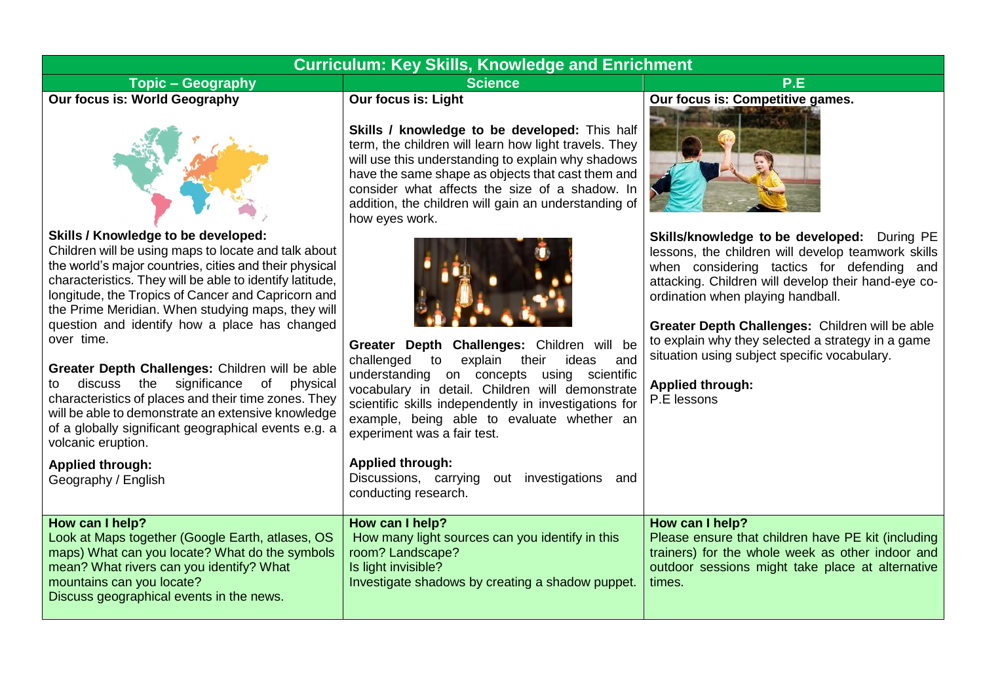## **Curriculum: Key Skills, Knowledge and Enrichment**

**Topic – Geography Science P.E Our focus is: World Geography** 



#### **Skills / Knowledge to be developed:**

Children will be using maps to locate and talk about the world's major countries, cities and their physical characteristics. They will be able to identify latitude, longitude, the Tropics of Cancer and Capricorn and the Prime Meridian. When studying maps, they will question and identify how a place has changed over time.

**Greater Depth Challenges:** Children will be able to discuss the significance of physical characteristics of places and their time zones. They will be able to demonstrate an extensive knowledge of a globally significant geographical events e.g. a volcanic eruption.

**Our focus is: Light** 

**Skills / knowledge to be developed:** This half term, the children will learn how light travels. They will use this understanding to explain why shadows have the same shape as objects that cast them and consider what affects the size of a shadow. In addition, the children will gain an understanding of how eyes work.



**Greater Depth Challenges:** Children will be challenged to explain their ideas and understanding on concepts using scientific vocabulary in detail. Children will demonstrate scientific skills independently in investigations for example, being able to evaluate whether an experiment was a fair test.

# **Our focus is: Competitive games.**



**Skills/knowledge to be developed:** During PE lessons, the children will develop teamwork skills when considering tactics for defending and attacking. Children will develop their hand-eye coordination when playing handball.

**Greater Depth Challenges:** Children will be able to explain why they selected a strategy in a game situation using subject specific vocabulary.

**Applied through:** P.E lessons

| VOICanic eruption.<br><b>Applied through:</b><br>Geography / English                                                                                                                                                                       | <b>Applied through:</b><br>Discussions, carrying out investigations<br>and<br>conducting research.                                                                |                                                                                                                                                                                         |
|--------------------------------------------------------------------------------------------------------------------------------------------------------------------------------------------------------------------------------------------|-------------------------------------------------------------------------------------------------------------------------------------------------------------------|-----------------------------------------------------------------------------------------------------------------------------------------------------------------------------------------|
| How can I help?<br>Look at Maps together (Google Earth, atlases, OS<br>maps) What can you locate? What do the symbols<br>mean? What rivers can you identify? What<br>mountains can you locate?<br>Discuss geographical events in the news. | How can I help?<br>How many light sources can you identify in this<br>room? Landscape?<br>Is light invisible?<br>Investigate shadows by creating a shadow puppet. | How can I help?<br>Please ensure that children have PE kit (including<br>trainers) for the whole week as other indoor and<br>outdoor sessions might take place at alternative<br>times. |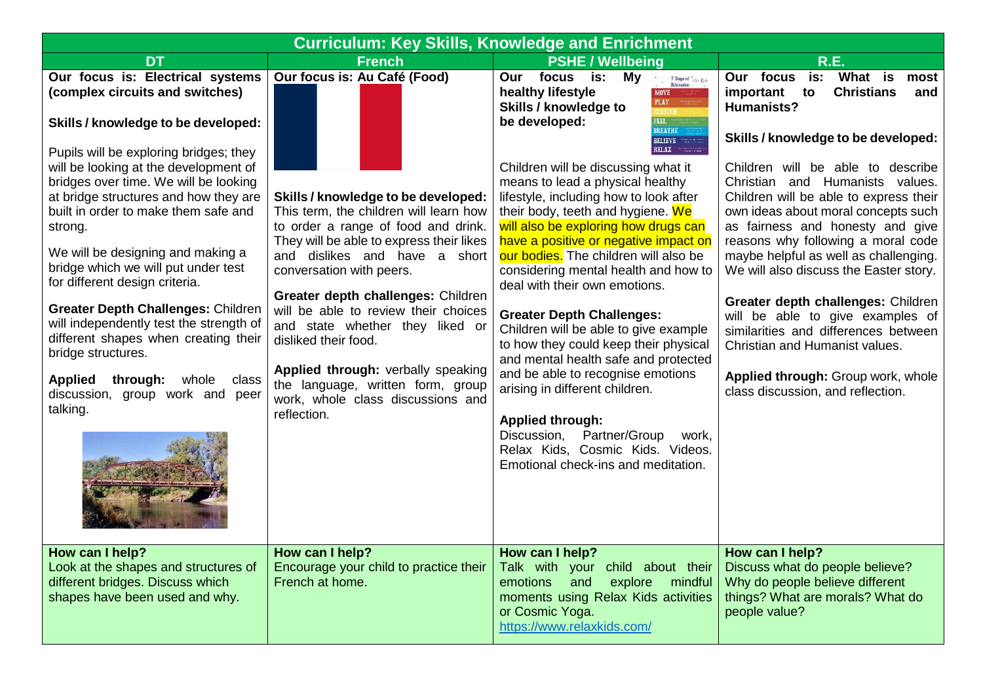| <b>Curriculum: Key Skills, Knowledge and Enrichment</b>                                                                                                                                                                                                                                                                                                                                                                                                                                                                                                                                                                                                                                           |                                                                                                                                                                                                                                                                                                                                                                                                                                                                                                                                       |                                                                                                                                                                                                                                                                                                                                                                                                                                                                                                                                                                                                                                                                                                                                                                                                                                                                                                                                                                                                                                 |                                                                                                                                                                                                                                                                                                                                                                                                                                                                                                                                                                                                                                                                                                     |  |
|---------------------------------------------------------------------------------------------------------------------------------------------------------------------------------------------------------------------------------------------------------------------------------------------------------------------------------------------------------------------------------------------------------------------------------------------------------------------------------------------------------------------------------------------------------------------------------------------------------------------------------------------------------------------------------------------------|---------------------------------------------------------------------------------------------------------------------------------------------------------------------------------------------------------------------------------------------------------------------------------------------------------------------------------------------------------------------------------------------------------------------------------------------------------------------------------------------------------------------------------------|---------------------------------------------------------------------------------------------------------------------------------------------------------------------------------------------------------------------------------------------------------------------------------------------------------------------------------------------------------------------------------------------------------------------------------------------------------------------------------------------------------------------------------------------------------------------------------------------------------------------------------------------------------------------------------------------------------------------------------------------------------------------------------------------------------------------------------------------------------------------------------------------------------------------------------------------------------------------------------------------------------------------------------|-----------------------------------------------------------------------------------------------------------------------------------------------------------------------------------------------------------------------------------------------------------------------------------------------------------------------------------------------------------------------------------------------------------------------------------------------------------------------------------------------------------------------------------------------------------------------------------------------------------------------------------------------------------------------------------------------------|--|
| <b>DT</b>                                                                                                                                                                                                                                                                                                                                                                                                                                                                                                                                                                                                                                                                                         | <b>French</b>                                                                                                                                                                                                                                                                                                                                                                                                                                                                                                                         | <b>PSHE / Wellbeing</b>                                                                                                                                                                                                                                                                                                                                                                                                                                                                                                                                                                                                                                                                                                                                                                                                                                                                                                                                                                                                         | <b>R.E.</b>                                                                                                                                                                                                                                                                                                                                                                                                                                                                                                                                                                                                                                                                                         |  |
| Our focus is: Electrical systems<br>(complex circuits and switches)<br>Skills / knowledge to be developed:<br>Pupils will be exploring bridges; they<br>will be looking at the development of<br>bridges over time. We will be looking<br>at bridge structures and how they are<br>built in order to make them safe and<br>strong.<br>We will be designing and making a<br>bridge which we will put under test<br>for different design criteria.<br>Greater Depth Challenges: Children<br>will independently test the strength of<br>different shapes when creating their<br>bridge structures.<br><b>Applied</b><br>through:<br>whole<br>class<br>discussion,<br>group work and peer<br>talking. | Our focus is: Au Café (Food)<br>Skills / knowledge to be developed:<br>This term, the children will learn how<br>to order a range of food and drink.<br>They will be able to express their likes<br>and dislikes and have a short<br>conversation with peers.<br>Greater depth challenges: Children<br>will be able to review their choices<br>and state whether they liked or<br>disliked their food.<br>Applied through: verbally speaking<br>the language, written form, group<br>work, whole class discussions and<br>reflection. | Our focus is:<br>My<br>$\begin{array}{c} \begin{array}{c} \cdot \\ \cdot \end{array} & \begin{array}{c} \text{7 Steps of} \\ \text{Relaxation} \end{array} \\ \begin{array}{c} \cdot \\ \cdot \end{array} & \begin{array}{c} \text{7 Steps of} \\ \end{array} \end{array}$<br>healthy lifestyle<br>MOVE<br><b>PLAY</b><br>Skills / knowledge to<br>be developed:<br>FEEL<br><b>BREATHE</b><br><b>BELIEVE</b><br>RELAX CONTROL<br>Children will be discussing what it<br>means to lead a physical healthy<br>lifestyle, including how to look after<br>their body, teeth and hygiene. We<br>will also be exploring how drugs can<br>have a positive or negative impact on<br>our bodies. The children will also be<br>considering mental health and how to<br>deal with their own emotions.<br><b>Greater Depth Challenges:</b><br>Children will be able to give example<br>to how they could keep their physical<br>and mental health safe and protected<br>and be able to recognise emotions<br>arising in different children. | What is<br>is:<br>Our focus<br>most<br><b>Christians</b><br>important<br>to<br>and<br><b>Humanists?</b><br>Skills / knowledge to be developed:<br>Children will be able to describe<br>Christian and Humanists values.<br>Children will be able to express their<br>own ideas about moral concepts such<br>as fairness and honesty and give<br>reasons why following a moral code<br>maybe helpful as well as challenging.<br>We will also discuss the Easter story.<br>Greater depth challenges: Children<br>will be able to give examples of<br>similarities and differences between<br>Christian and Humanist values.<br>Applied through: Group work, whole<br>class discussion, and reflection. |  |
|                                                                                                                                                                                                                                                                                                                                                                                                                                                                                                                                                                                                                                                                                                   |                                                                                                                                                                                                                                                                                                                                                                                                                                                                                                                                       | <b>Applied through:</b><br>Discussion,<br>Partner/Group<br>work,<br>Relax Kids, Cosmic Kids. Videos.<br>Emotional check-ins and meditation.                                                                                                                                                                                                                                                                                                                                                                                                                                                                                                                                                                                                                                                                                                                                                                                                                                                                                     |                                                                                                                                                                                                                                                                                                                                                                                                                                                                                                                                                                                                                                                                                                     |  |
| How can I help?<br>Look at the shapes and structures of<br>different bridges. Discuss which<br>shapes have been used and why.                                                                                                                                                                                                                                                                                                                                                                                                                                                                                                                                                                     | How can I help?<br>Encourage your child to practice their<br>French at home.                                                                                                                                                                                                                                                                                                                                                                                                                                                          | How can I help?<br>Talk with your child about their<br>and<br>explore<br>emotions<br>mindful<br>moments using Relax Kids activities<br>or Cosmic Yoga.<br>https://www.relaxkids.com/                                                                                                                                                                                                                                                                                                                                                                                                                                                                                                                                                                                                                                                                                                                                                                                                                                            | How can I help?<br>Discuss what do people believe?<br>Why do people believe different<br>things? What are morals? What do<br>people value?                                                                                                                                                                                                                                                                                                                                                                                                                                                                                                                                                          |  |